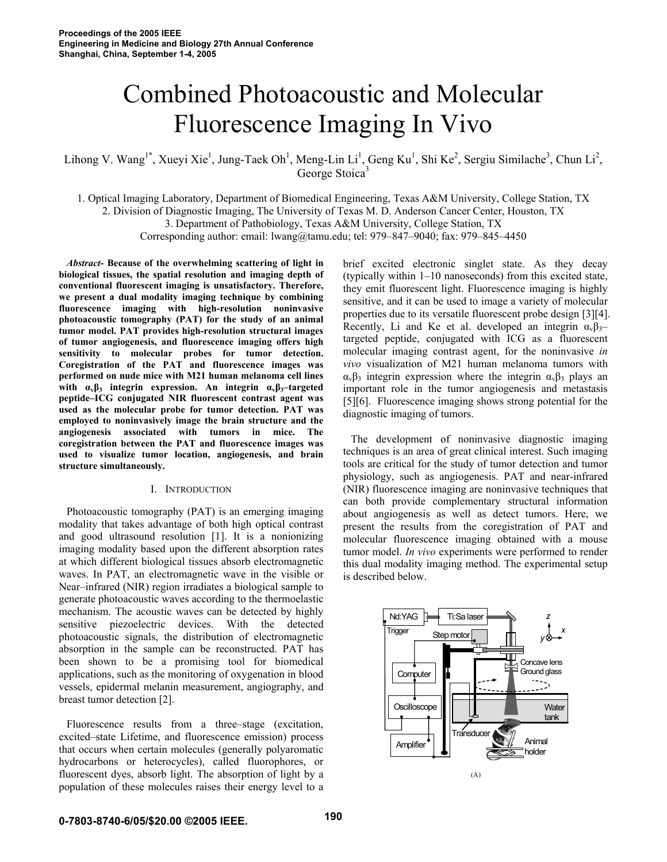# Combined Photoacoustic and Molecular Fluorescence Imaging In Vivo

Lihong V. Wang<sup>1\*</sup>, Xueyi Xie<sup>1</sup>, Jung-Taek Oh<sup>1</sup>, Meng-Lin Li<sup>1</sup>, Geng Ku<sup>1</sup>, Shi Ke<sup>2</sup>, Sergiu Similache<sup>3</sup>, Chun Li<sup>2</sup>, George Stoica<sup>3</sup>

1. Optical Imaging Laboratory, Department of Biomedical Engineering, Texas A&M University, College Station, TX 2. Division of Diagnostic Imaging, The University of Texas M. D. Anderson Cancer Center, Houston, TX 3. Department of Pathobiology, Texas A&M University, College Station, TX Corresponding author: email: lwang@tamu.edu; tel: 979–847–9040; fax: 979–845–4450

*Abstract***- Because of the overwhelming scattering of light in biological tissues, the spatial resolution and imaging depth of conventional fluorescent imaging is unsatisfactory. Therefore, we present a dual modality imaging technique by combining fluorescence imaging with high-resolution noninvasive photoacoustic tomography (PAT) for the study of an animal tumor model. PAT provides high-resolution structural images of tumor angiogenesis, and fluorescence imaging offers high sensitivity to molecular probes for tumor detection. Coregistration of the PAT and fluorescence images was performed on nude mice with M21 human melanoma cell lines with**  $\alpha_v \beta_3$  integrin expression. An integrin  $\alpha_v \beta_3$ -targeted **peptide–ICG conjugated NIR fluorescent contrast agent was used as the molecular probe for tumor detection. PAT was employed to noninvasively image the brain structure and the angiogenesis associated with tumors in mice. The coregistration between the PAT and fluorescence images was used to visualize tumor location, angiogenesis, and brain structure simultaneously.** 

## I. INTRODUCTION

Photoacoustic tomography (PAT) is an emerging imaging modality that takes advantage of both high optical contrast and good ultrasound resolution [1]. It is a nonionizing imaging modality based upon the different absorption rates at which different biological tissues absorb electromagnetic waves. In PAT, an electromagnetic wave in the visible or Near–infrared (NIR) region irradiates a biological sample to generate photoacoustic waves according to the thermoelastic mechanism. The acoustic waves can be detected by highly sensitive piezoelectric devices. With the detected photoacoustic signals, the distribution of electromagnetic absorption in the sample can be reconstructed. PAT has been shown to be a promising tool for biomedical applications, such as the monitoring of oxygenation in blood vessels, epidermal melanin measurement, angiography, and breast tumor detection [2].

Fluorescence results from a three–stage (excitation, excited–state Lifetime, and fluorescence emission) process that occurs when certain molecules (generally polyaromatic hydrocarbons or heterocycles), called fluorophores, or fluorescent dyes, absorb light. The absorption of light by a population of these molecules raises their energy level to a

brief excited electronic singlet state. As they decay (typically within 1–10 nanoseconds) from this excited state, they emit fluorescent light. Fluorescence imaging is highly sensitive, and it can be used to image a variety of molecular properties due to its versatile fluorescent probe design [3][4]. Recently, Li and Ke et al. developed an integrin  $\alpha_{\rm v} \beta_3$ targeted peptide, conjugated with ICG as a fluorescent molecular imaging contrast agent, for the noninvasive *in vivo* visualization of M21 human melanoma tumors with  $\alpha_{\nu} \beta_3$  integrin expression where the integrin  $\alpha_{\nu} \beta_3$  plays an important role in the tumor angiogenesis and metastasis [5][6]. Fluorescence imaging shows strong potential for the diagnostic imaging of tumors.

The development of noninvasive diagnostic imaging techniques is an area of great clinical interest. Such imaging tools are critical for the study of tumor detection and tumor physiology, such as angiogenesis. PAT and near-infrared (NIR) fluorescence imaging are noninvasive techniques that can both provide complementary structural information about angiogenesis as well as detect tumors. Here, we present the results from the coregistration of PAT and molecular fluorescence imaging obtained with a mouse tumor model. *In vivo* experiments were performed to render this dual modality imaging method. The experimental setup is described below.

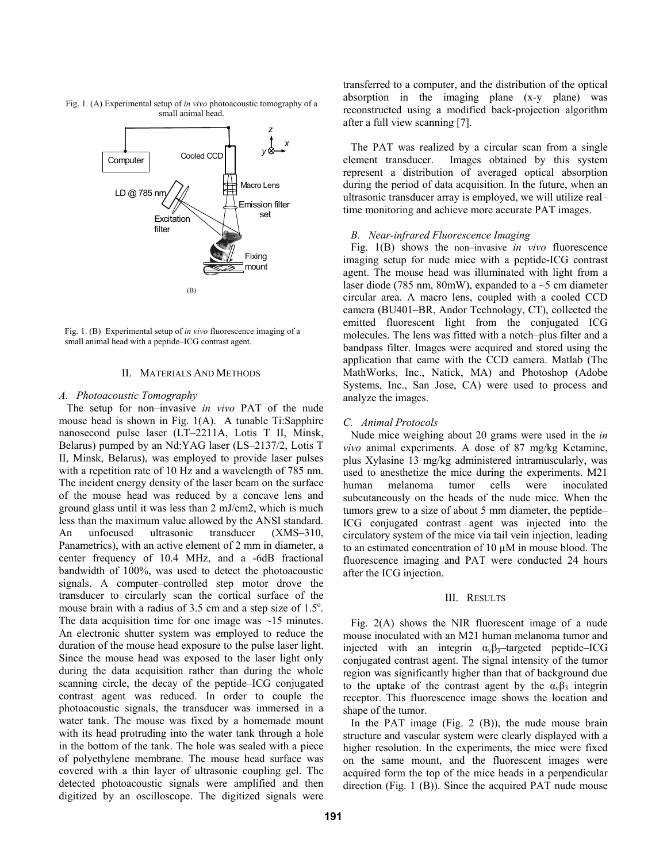

Fig. 1. (A) Experimental setup of *in vivo* photoacoustic tomography of a small animal head.

Fig. 1. (B) Experimental setup of *in vivo* fluorescence imaging of a small animal head with a peptide–ICG contrast agent.

### II. MATERIALS AND METHODS

#### *A. Photoacoustic Tomography*

The setup for non–invasive *in vivo* PAT of the nude mouse head is shown in Fig. 1(A). A tunable Ti:Sapphire nanosecond pulse laser (LT–2211A, Lotis T II, Minsk, Belarus) pumped by an Nd:YAG laser (LS–2137/2, Lotis T II, Minsk, Belarus), was employed to provide laser pulses with a repetition rate of 10 Hz and a wavelength of 785 nm. The incident energy density of the laser beam on the surface of the mouse head was reduced by a concave lens and ground glass until it was less than 2 mJ/cm2, which is much less than the maximum value allowed by the ANSI standard. An unfocused ultrasonic transducer (XMS–310, Panametrics), with an active element of 2 mm in diameter, a center frequency of 10.4 MHz, and a -6dB fractional bandwidth of 100%, was used to detect the photoacoustic signals. A computer–controlled step motor drove the transducer to circularly scan the cortical surface of the mouse brain with a radius of 3.5 cm and a step size of  $1.5^\circ$ . The data acquisition time for one image was  $\sim$ 15 minutes. An electronic shutter system was employed to reduce the duration of the mouse head exposure to the pulse laser light. Since the mouse head was exposed to the laser light only during the data acquisition rather than during the whole scanning circle, the decay of the peptide–ICG conjugated contrast agent was reduced. In order to couple the photoacoustic signals, the transducer was immersed in a water tank. The mouse was fixed by a homemade mount with its head protruding into the water tank through a hole in the bottom of the tank. The hole was sealed with a piece of polyethylene membrane. The mouse head surface was covered with a thin layer of ultrasonic coupling gel. The detected photoacoustic signals were amplified and then digitized by an oscilloscope. The digitized signals were

transferred to a computer, and the distribution of the optical absorption in the imaging plane (x-y plane) was reconstructed using a modified back-projection algorithm after a full view scanning [7].

The PAT was realized by a circular scan from a single element transducer. Images obtained by this system represent a distribution of averaged optical absorption during the period of data acquisition. In the future, when an ultrasonic transducer array is employed, we will utilize real– time monitoring and achieve more accurate PAT images.

### *B. Near-infrared Fluorescence Imaging*

Fig. 1(B) shows the non–invasive *in vivo* fluorescence imaging setup for nude mice with a peptide-ICG contrast agent. The mouse head was illuminated with light from a laser diode (785 nm, 80mW), expanded to a  $\sim$ 5 cm diameter circular area. A macro lens, coupled with a cooled CCD camera (BU401–BR, Andor Technology, CT), collected the emitted fluorescent light from the conjugated ICG molecules. The lens was fitted with a notch–plus filter and a bandpass filter. Images were acquired and stored using the application that came with the CCD camera. Matlab (The MathWorks, Inc., Natick, MA) and Photoshop (Adobe Systems, Inc., San Jose, CA) were used to process and analyze the images.

#### *C. Animal Protocols*

Nude mice weighing about 20 grams were used in the *in vivo* animal experiments. A dose of 87 mg/kg Ketamine, plus Xylasine 13 mg/kg administered intramuscularly, was used to anesthetize the mice during the experiments. M21 human melanoma tumor cells were inoculated subcutaneously on the heads of the nude mice. When the tumors grew to a size of about 5 mm diameter, the peptide– ICG conjugated contrast agent was injected into the circulatory system of the mice via tail vein injection, leading to an estimated concentration of 10 µM in mouse blood. The fluorescence imaging and PAT were conducted 24 hours after the ICG injection.

## III. RESULTS

Fig. 2(A) shows the NIR fluorescent image of a nude mouse inoculated with an M21 human melanoma tumor and injected with an integrin  $\alpha_v \beta_3$ -targeted peptide–ICG conjugated contrast agent. The signal intensity of the tumor region was significantly higher than that of background due to the uptake of the contrast agent by the  $\alpha_v \beta_3$  integrin receptor. This fluorescence image shows the location and shape of the tumor.

In the PAT image (Fig.  $2$  (B)), the nude mouse brain structure and vascular system were clearly displayed with a higher resolution. In the experiments, the mice were fixed on the same mount, and the fluorescent images were acquired form the top of the mice heads in a perpendicular direction (Fig. 1 (B)). Since the acquired PAT nude mouse